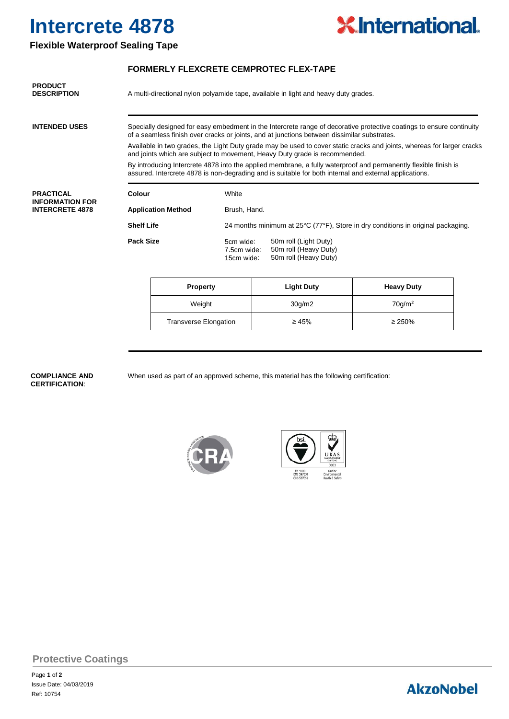# **Intercrete 4878**



### **Flexible Waterproof Sealing Tape**

#### **FORMERLY FLEXCRETE CEMPROTEC FLEX-TAPE**

| <b>PRODUCT</b><br><b>DESCRIPTION</b>                                 | A multi-directional nylon polyamide tape, available in light and heavy duty grades.                                                                                                                                       |                 |                                                                                  |  |                                                                         |                   |  |  |  |  |
|----------------------------------------------------------------------|---------------------------------------------------------------------------------------------------------------------------------------------------------------------------------------------------------------------------|-----------------|----------------------------------------------------------------------------------|--|-------------------------------------------------------------------------|-------------------|--|--|--|--|
| <b>INTENDED USES</b>                                                 | Specially designed for easy embedment in the Intercrete range of decorative protective coatings to ensure continuity<br>of a seamless finish over cracks or joints, and at junctions between dissimilar substrates.       |                 |                                                                                  |  |                                                                         |                   |  |  |  |  |
|                                                                      | Available in two grades, the Light Duty grade may be used to cover static cracks and joints, whereas for larger cracks<br>and joints which are subject to movement, Heavy Duty grade is recommended.                      |                 |                                                                                  |  |                                                                         |                   |  |  |  |  |
|                                                                      | By introducing Intercrete 4878 into the applied membrane, a fully waterproof and permanently flexible finish is<br>assured. Intercrete 4878 is non-degrading and is suitable for both internal and external applications. |                 |                                                                                  |  |                                                                         |                   |  |  |  |  |
| <b>PRACTICAL</b><br><b>INFORMATION FOR</b><br><b>INTERCRETE 4878</b> | Colour                                                                                                                                                                                                                    |                 | White                                                                            |  |                                                                         |                   |  |  |  |  |
|                                                                      | <b>Application Method</b>                                                                                                                                                                                                 |                 | Brush, Hand.                                                                     |  |                                                                         |                   |  |  |  |  |
|                                                                      | <b>Shelf Life</b>                                                                                                                                                                                                         |                 | 24 months minimum at 25°C (77°F), Store in dry conditions in original packaging. |  |                                                                         |                   |  |  |  |  |
|                                                                      | <b>Pack Size</b>                                                                                                                                                                                                          |                 | 5cm wide:<br>7.5cm wide:<br>15cm wide:                                           |  | 50m roll (Light Duty)<br>50m roll (Heavy Duty)<br>50m roll (Heavy Duty) |                   |  |  |  |  |
|                                                                      |                                                                                                                                                                                                                           | <b>Property</b> |                                                                                  |  | <b>Light Duty</b>                                                       | <b>Heavy Duty</b> |  |  |  |  |

|        | <b>Property</b>              | <b>Light Duty</b> | <b>Heavy Duty</b>  |  |
|--------|------------------------------|-------------------|--------------------|--|
| Weight |                              | 30g/m2            | 70q/m <sup>2</sup> |  |
|        | <b>Transverse Elongation</b> | $\geq 45\%$       | $\geq 250\%$       |  |

## **CERTIFICATION**:

**COMPLIANCE AND** When used as part of an approved scheme, this material has the following certification:







### **Protective Coatings**

Page **1** of **2** Issue Date: 04/03/2019 Ref: 10754

## **AkzoNobel**